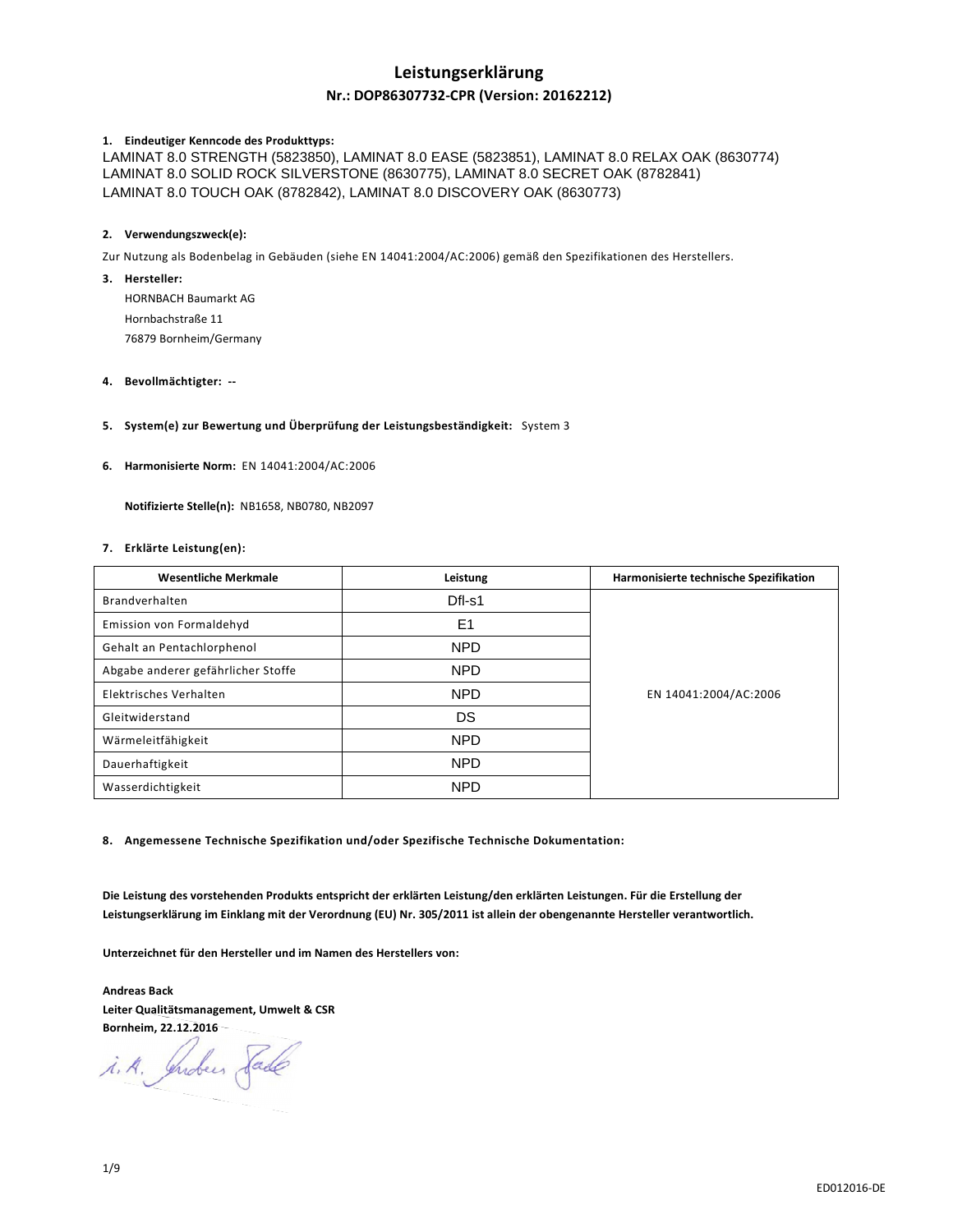# **Leistungserklärung**

### **Nr.: DOP86307732-CPR (Version: 20162212)**

### **1. Eindeutiger Kenncode des Produkttyps:**

LAMINAT 8.0 STRENGTH (5823850), LAMINAT 8.0 EASE (5823851), LAMINAT 8.0 RELAX OAK (8630774) LAMINAT 8.0 SOLID ROCK SILVERSTONE (8630775), LAMINAT 8.0 SECRET OAK (8782841) LAMINAT 8.0 TOUCH OAK (8782842), LAMINAT 8.0 DISCOVERY OAK (8630773)

### **2. Verwendungszweck(e):**

Zur Nutzung als Bodenbelag in Gebäuden (siehe EN 14041:2004/AC:2006) gemäß den Spezifikationen des Herstellers.

**3. Hersteller:** 

HORNBACH Baumarkt AG Hornbachstraße 11 76879 Bornheim/Germany

### **4. Bevollmächtigter: --**

### **5. System(e) zur Bewertung und Überprüfung der Leistungsbeständigkeit:** System 3

**6. Harmonisierte Norm:** EN 14041:2004/AC:2006

 **Notifizierte Stelle(n):** NB1658, NB0780, NB2097

### **7. Erklärte Leistung(en):**

| <b>Wesentliche Merkmale</b>        | Leistung       | Harmonisierte technische Spezifikation |
|------------------------------------|----------------|----------------------------------------|
| Brandverhalten                     | Dfl-s1         |                                        |
| Emission von Formaldehyd           | E <sub>1</sub> |                                        |
| Gehalt an Pentachlorphenol         | <b>NPD</b>     | EN 14041:2004/AC:2006                  |
| Abgabe anderer gefährlicher Stoffe | <b>NPD</b>     |                                        |
| Elektrisches Verhalten             | <b>NPD</b>     |                                        |
| Gleitwiderstand                    | DS             |                                        |
| Wärmeleitfähigkeit                 | <b>NPD</b>     |                                        |
| Dauerhaftigkeit                    | <b>NPD</b>     |                                        |
| Wasserdichtigkeit                  | <b>NPD</b>     |                                        |

**8. Angemessene Technische Spezifikation und/oder Spezifische Technische Dokumentation:** 

**Die Leistung des vorstehenden Produkts entspricht der erklärten Leistung/den erklärten Leistungen. Für die Erstellung der Leistungserklärung im Einklang mit der Verordnung (EU) Nr. 305/2011 ist allein der obengenannte Hersteller verantwortlich.** 

**Unterzeichnet für den Hersteller und im Namen des Herstellers von:** 

**Andreas Back Leiter Qualitätsmanagement, Umwelt & CSR Bornheim, 22.12.2016** 

i.A. Indus Sade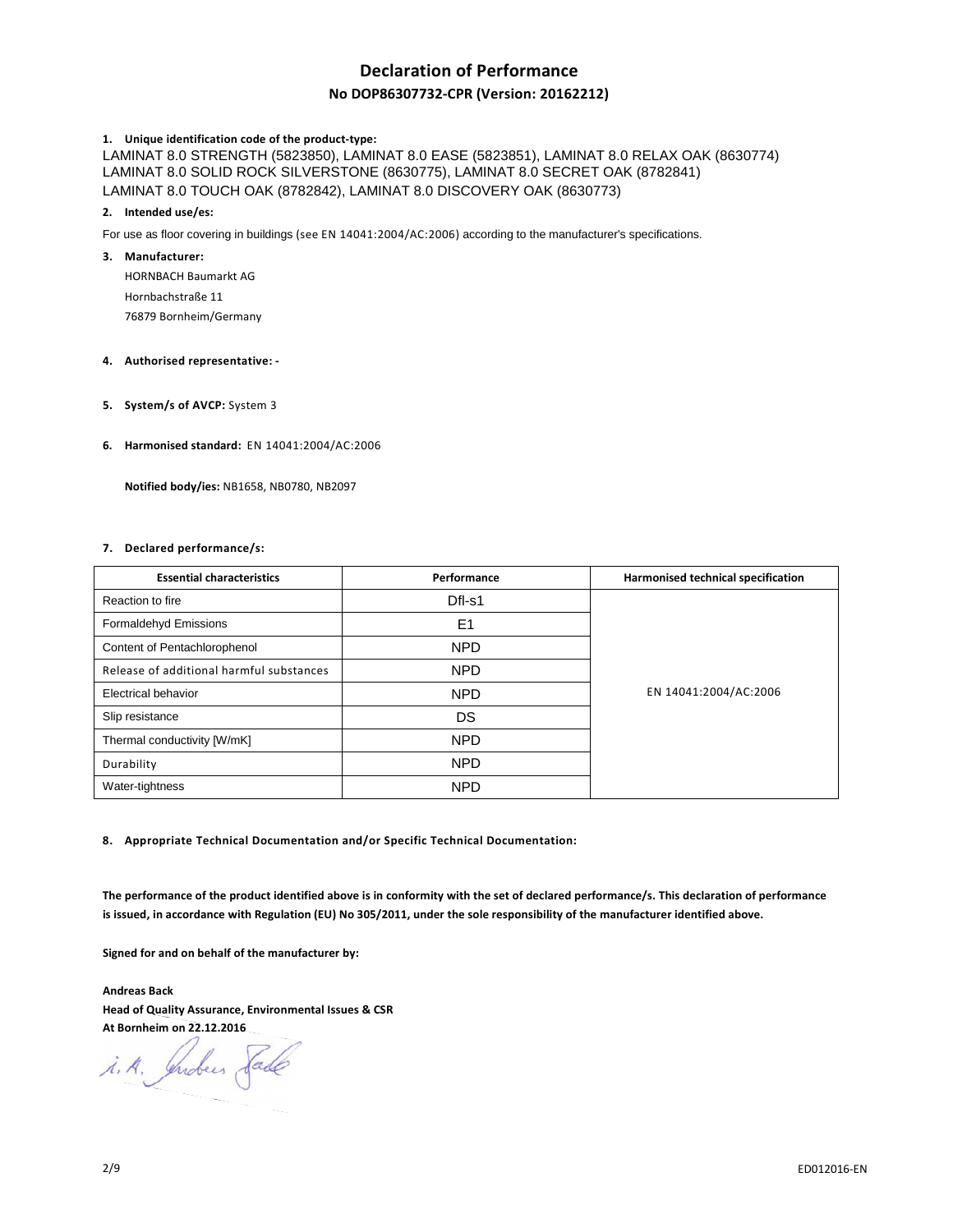# **Declaration of Performance**

### **No DOP86307732-CPR (Version: 20162212)**

### **1. Unique identification code of the product-type:**

LAMINAT 8.0 STRENGTH (5823850), LAMINAT 8.0 EASE (5823851), LAMINAT 8.0 RELAX OAK (8630774) LAMINAT 8.0 SOLID ROCK SILVERSTONE (8630775), LAMINAT 8.0 SECRET OAK (8782841) LAMINAT 8.0 TOUCH OAK (8782842), LAMINAT 8.0 DISCOVERY OAK (8630773)

#### **2. Intended use/es:**

For use as floor covering in buildings (see EN 14041:2004/AC:2006) according to the manufacturer's specifications.

### **3. Manufacturer:**

HORNBACH Baumarkt AG Hornbachstraße 11 76879 Bornheim/Germany

### **4. Authorised representative: -**

**5. System/s of AVCP:** System 3

### **6. Harmonised standard:** EN 14041:2004/AC:2006

 **Notified body/ies:** NB1658, NB0780, NB2097

### **7. Declared performance/s:**

| <b>Essential characteristics</b>         | Performance    | Harmonised technical specification |
|------------------------------------------|----------------|------------------------------------|
| Reaction to fire                         | Dfl-s1         |                                    |
| Formaldehyd Emissions                    | E <sub>1</sub> |                                    |
| Content of Pentachlorophenol             | NPD            | EN 14041:2004/AC:2006              |
| Release of additional harmful substances | <b>NPD</b>     |                                    |
| <b>Electrical behavior</b>               | NPD            |                                    |
| Slip resistance                          | DS             |                                    |
| Thermal conductivity [W/mK]              | <b>NPD</b>     |                                    |
| Durability                               | <b>NPD</b>     |                                    |
| Water-tightness                          | <b>NPD</b>     |                                    |

**8. Appropriate Technical Documentation and/or Specific Technical Documentation:** 

**The performance of the product identified above is in conformity with the set of declared performance/s. This declaration of performance is issued, in accordance with Regulation (EU) No 305/2011, under the sole responsibility of the manufacturer identified above.** 

**Signed for and on behalf of the manufacturer by:** 

**Andreas Back Head of Quality Assurance, Environmental Issues & CSR At Bornheim on 22.12.2016** 

i.A. Indees Sade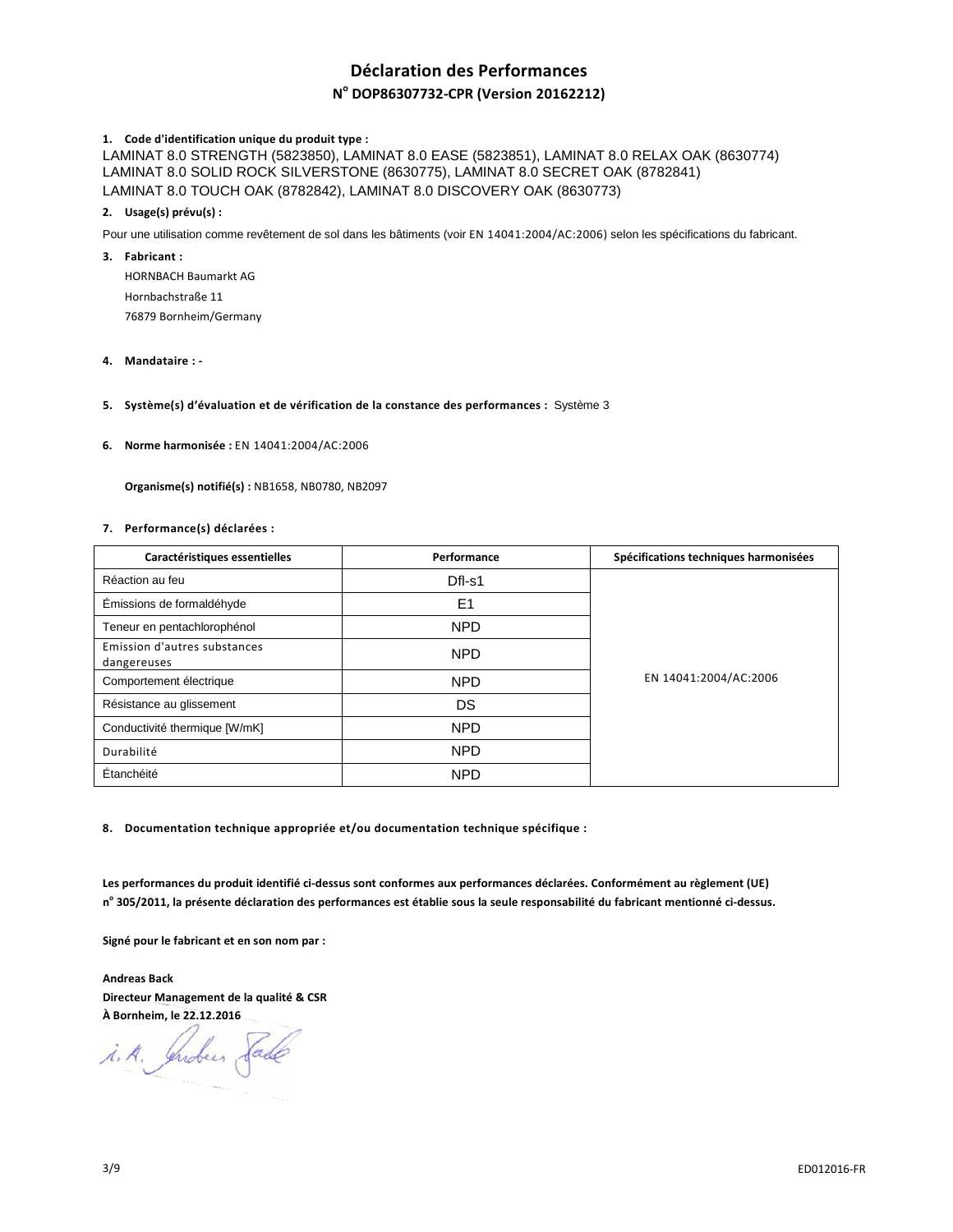# **Déclaration des Performances**

# **N o DOP86307732-CPR (Version 20162212)**

### **1. Code d'identification unique du produit type :**

LAMINAT 8.0 STRENGTH (5823850), LAMINAT 8.0 EASE (5823851), LAMINAT 8.0 RELAX OAK (8630774) LAMINAT 8.0 SOLID ROCK SILVERSTONE (8630775), LAMINAT 8.0 SECRET OAK (8782841) LAMINAT 8.0 TOUCH OAK (8782842), LAMINAT 8.0 DISCOVERY OAK (8630773)

### **2. Usage(s) prévu(s) :**

Pour une utilisation comme revêtement de sol dans les bâtiments (voir EN 14041:2004/AC:2006) selon les spécifications du fabricant.

### **3. Fabricant :**

HORNBACH Baumarkt AG Hornbachstraße 11 76879 Bornheim/Germany

**4. Mandataire : -** 

### **5. Système(s) d'évaluation et de vérification de la constance des performances :** Système 3

**6. Norme harmonisée :** EN 14041:2004/AC:2006

 **Organisme(s) notifié(s) :** NB1658, NB0780, NB2097

### **7. Performance(s) déclarées :**

| Caractéristiques essentielles               | Performance | Spécifications techniques harmonisées |
|---------------------------------------------|-------------|---------------------------------------|
| Réaction au feu                             | $DfI-S1$    | EN 14041:2004/AC:2006                 |
| Émissions de formaldéhyde                   | E1          |                                       |
| Teneur en pentachlorophénol                 | <b>NPD</b>  |                                       |
| Emission d'autres substances<br>dangereuses | <b>NPD</b>  |                                       |
| Comportement électrique                     | <b>NPD</b>  |                                       |
| Résistance au glissement                    | DS          |                                       |
| Conductivité thermique [W/mK]               | <b>NPD</b>  |                                       |
| Durabilité                                  | <b>NPD</b>  |                                       |
| Étanchéité                                  | <b>NPD</b>  |                                       |

**8. Documentation technique appropriée et/ou documentation technique spécifique :** 

**Les performances du produit identifié ci-dessus sont conformes aux performances déclarées. Conformément au règlement (UE) n o 305/2011, la présente déclaration des performances est établie sous la seule responsabilité du fabricant mentionné ci-dessus.** 

**Signé pour le fabricant et en son nom par :** 

**Andreas Back Directeur Management de la qualité & CSR À Bornheim, le 22.12.2016** 

i.A. Indees Sade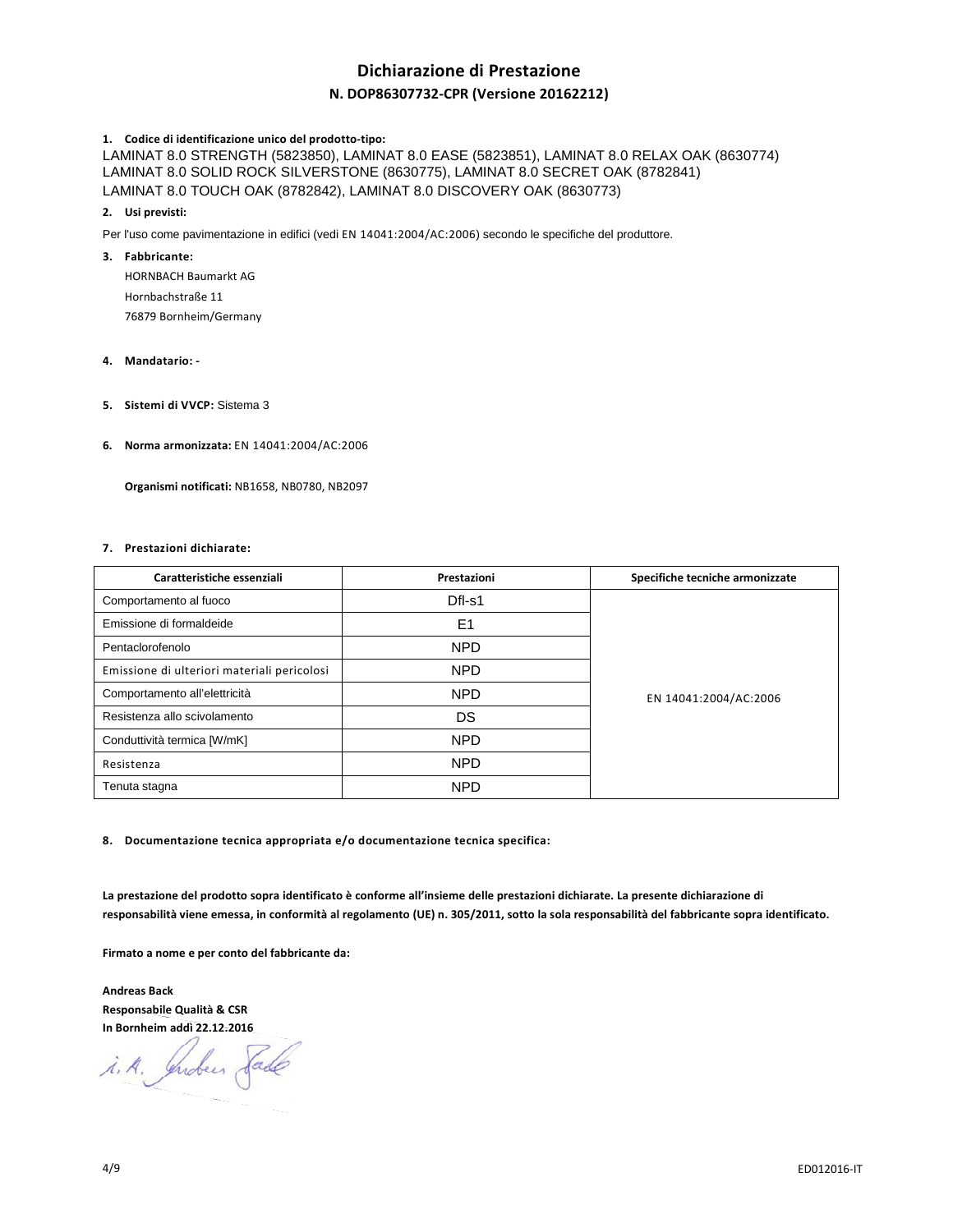# **Dichiarazione di Prestazione**

### **N. DOP86307732-CPR (Versione 20162212)**

### **1. Codice di identificazione unico del prodotto-tipo:**

LAMINAT 8.0 STRENGTH (5823850), LAMINAT 8.0 EASE (5823851), LAMINAT 8.0 RELAX OAK (8630774) LAMINAT 8.0 SOLID ROCK SILVERSTONE (8630775), LAMINAT 8.0 SECRET OAK (8782841) LAMINAT 8.0 TOUCH OAK (8782842), LAMINAT 8.0 DISCOVERY OAK (8630773)

### **2. Usi previsti:**

Per l'uso come pavimentazione in edifici (vedi EN 14041:2004/AC:2006) secondo le specifiche del produttore.

### **3. Fabbricante:**

HORNBACH Baumarkt AG Hornbachstraße 11 76879 Bornheim/Germany

### **4. Mandatario: -**

- **5. Sistemi di VVCP:** Sistema 3
- **6. Norma armonizzata:** EN 14041:2004/AC:2006

 **Organismi notificati:** NB1658, NB0780, NB2097

### **7. Prestazioni dichiarate:**

| Caratteristiche essenziali                  | Prestazioni    | Specifiche tecniche armonizzate |
|---------------------------------------------|----------------|---------------------------------|
| Comportamento al fuoco                      | Dfl-s1         | EN 14041:2004/AC:2006           |
| Emissione di formaldeide                    | E <sub>1</sub> |                                 |
| Pentaclorofenolo                            | <b>NPD</b>     |                                 |
| Emissione di ulteriori materiali pericolosi | <b>NPD</b>     |                                 |
| Comportamento all'elettricità               | <b>NPD</b>     |                                 |
| Resistenza allo scivolamento                | DS             |                                 |
| Conduttività termica [W/mK]                 | <b>NPD</b>     |                                 |
| Resistenza                                  | <b>NPD</b>     |                                 |
| Tenuta stagna                               | <b>NPD</b>     |                                 |

**8. Documentazione tecnica appropriata e/o documentazione tecnica specifica:** 

**La prestazione del prodotto sopra identificato è conforme all'insieme delle prestazioni dichiarate. La presente dichiarazione di responsabilità viene emessa, in conformità al regolamento (UE) n. 305/2011, sotto la sola responsabilità del fabbricante sopra identificato.** 

**Firmato a nome e per conto del fabbricante da:** 

**Andreas Back Responsabile Qualità & CSR In Bornheim addì 22.12.2016**

i.A. Indus Sade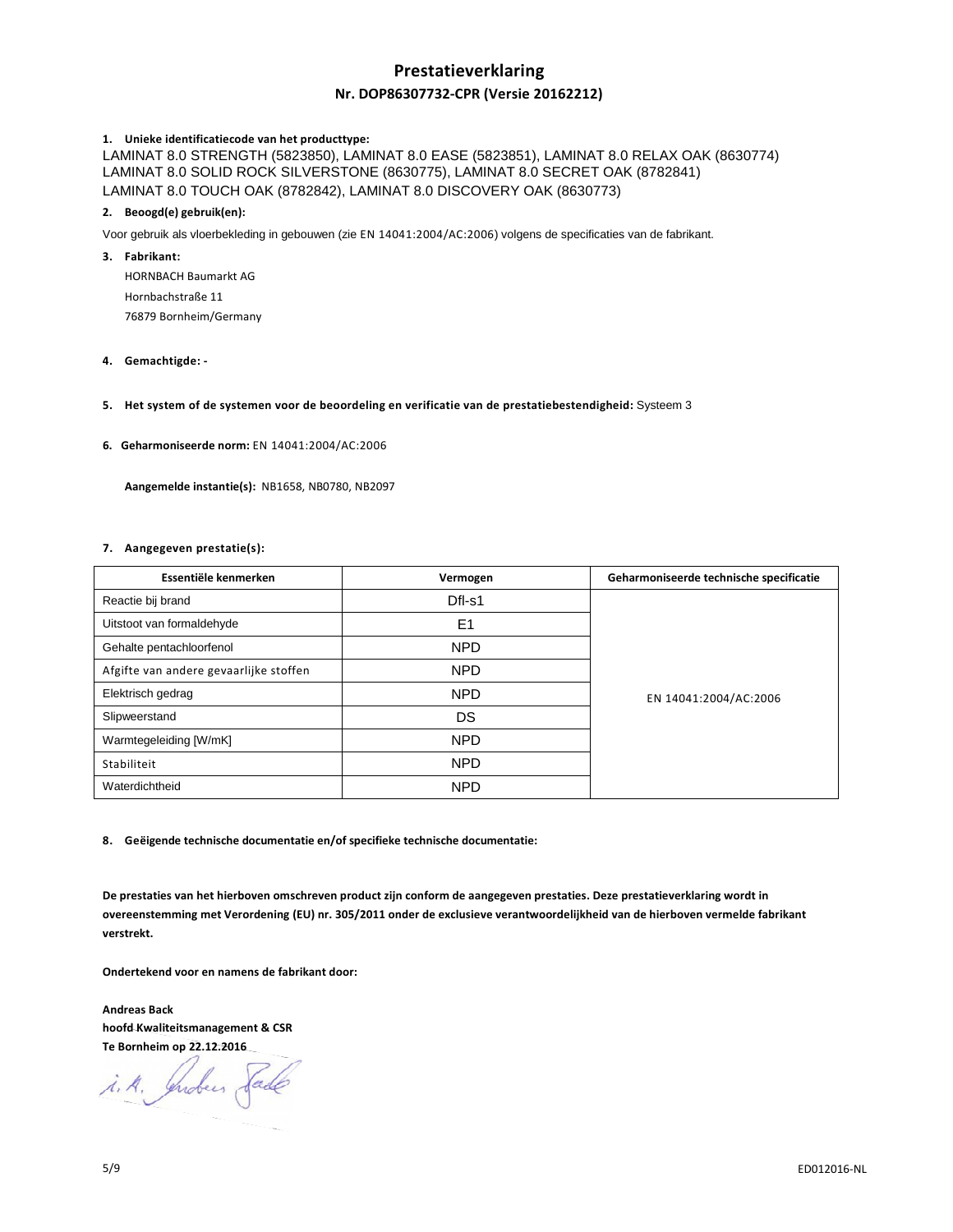# **Prestatieverklaring Nr. DOP86307732-CPR (Versie 20162212)**

### **1. Unieke identificatiecode van het producttype:**

LAMINAT 8.0 STRENGTH (5823850), LAMINAT 8.0 EASE (5823851), LAMINAT 8.0 RELAX OAK (8630774) LAMINAT 8.0 SOLID ROCK SILVERSTONE (8630775), LAMINAT 8.0 SECRET OAK (8782841) LAMINAT 8.0 TOUCH OAK (8782842), LAMINAT 8.0 DISCOVERY OAK (8630773)

### **2. Beoogd(e) gebruik(en):**

Voor gebruik als vloerbekleding in gebouwen (zie EN 14041:2004/AC:2006) volgens de specificaties van de fabrikant.

### **3. Fabrikant:**

HORNBACH Baumarkt AG Hornbachstraße 11 76879 Bornheim/Germany

**4. Gemachtigde: -** 

### **5. Het system of de systemen voor de beoordeling en verificatie van de prestatiebestendigheid:** Systeem 3

**6. Geharmoniseerde norm:** EN 14041:2004/AC:2006

 **Aangemelde instantie(s):** NB1658, NB0780, NB2097

### **7. Aangegeven prestatie(s):**

| Essentiële kenmerken                   | Vermogen       | Geharmoniseerde technische specificatie |
|----------------------------------------|----------------|-----------------------------------------|
| Reactie bij brand                      | Dfl-s1         | EN 14041:2004/AC:2006                   |
| Uitstoot van formaldehyde              | E <sub>1</sub> |                                         |
| Gehalte pentachloorfenol               | <b>NPD</b>     |                                         |
| Afgifte van andere gevaarlijke stoffen | <b>NPD</b>     |                                         |
| Elektrisch gedrag                      | <b>NPD</b>     |                                         |
| Slipweerstand                          | DS             |                                         |
| Warmtegeleiding [W/mK]                 | <b>NPD</b>     |                                         |
| Stabiliteit                            | <b>NPD</b>     |                                         |
| Waterdichtheid                         | <b>NPD</b>     |                                         |

**8. Geëigende technische documentatie en/of specifieke technische documentatie:** 

**De prestaties van het hierboven omschreven product zijn conform de aangegeven prestaties. Deze prestatieverklaring wordt in overeenstemming met Verordening (EU) nr. 305/2011 onder de exclusieve verantwoordelijkheid van de hierboven vermelde fabrikant verstrekt.** 

**Ondertekend voor en namens de fabrikant door:** 

**Andreas Back hoofd Kwaliteitsmanagement & CSR Te Bornheim op 22.12.2016** 

i.A. Indees Sade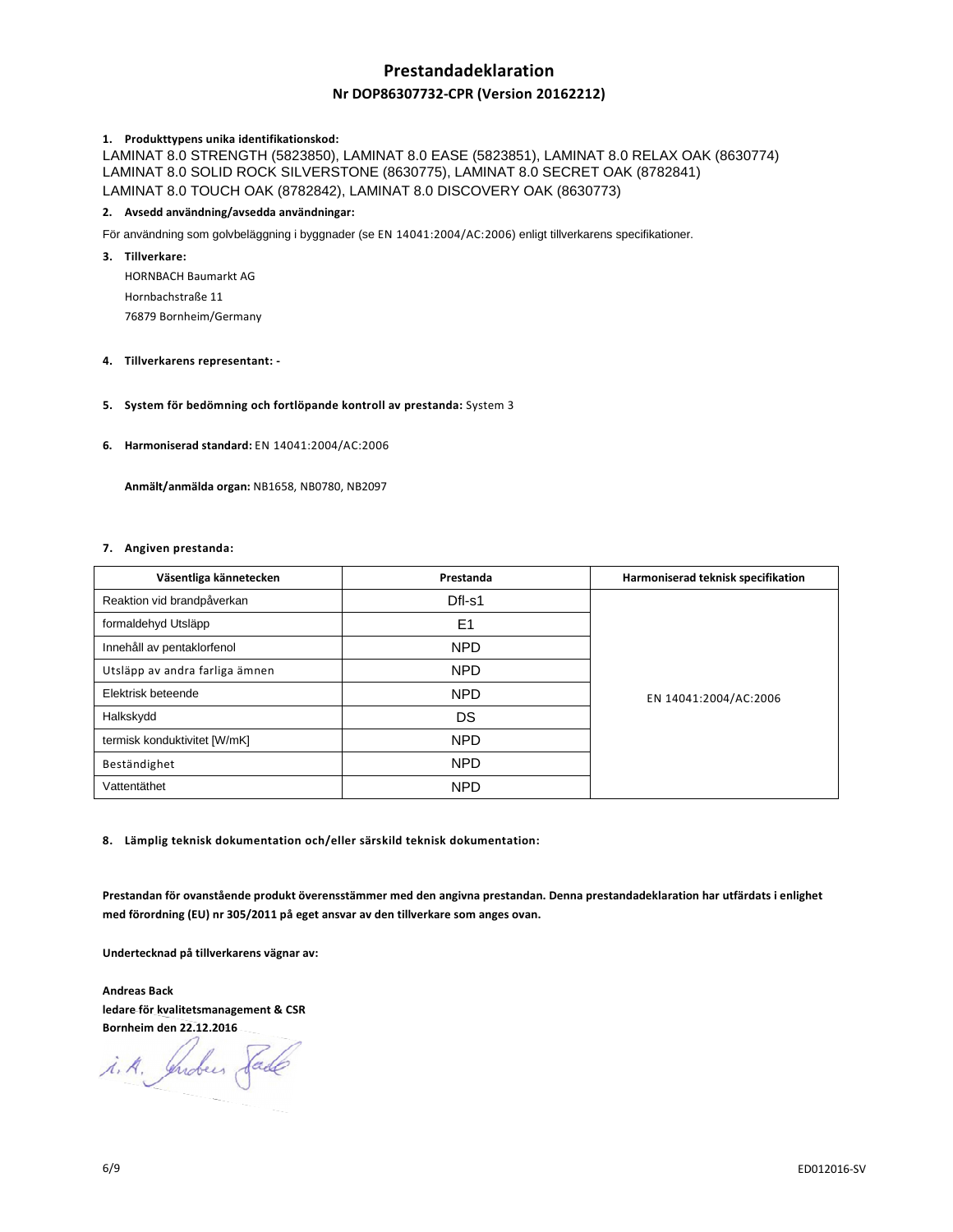## **Prestandadeklaration**

### **Nr DOP86307732-CPR (Version 20162212)**

### **1. Produkttypens unika identifikationskod:**

LAMINAT 8.0 STRENGTH (5823850), LAMINAT 8.0 EASE (5823851), LAMINAT 8.0 RELAX OAK (8630774) LAMINAT 8.0 SOLID ROCK SILVERSTONE (8630775), LAMINAT 8.0 SECRET OAK (8782841) LAMINAT 8.0 TOUCH OAK (8782842), LAMINAT 8.0 DISCOVERY OAK (8630773)

### **2. Avsedd användning/avsedda användningar:**

För användning som golvbeläggning i byggnader (se EN 14041:2004/AC:2006) enligt tillverkarens specifikationer.

### **3. Tillverkare:**

HORNBACH Baumarkt AG Hornbachstraße 11 76879 Bornheim/Germany

### **4. Tillverkarens representant: -**

### **5. System för bedömning och fortlöpande kontroll av prestanda:** System 3

**6. Harmoniserad standard:** EN 14041:2004/AC:2006

 **Anmält/anmälda organ:** NB1658, NB0780, NB2097

### **7. Angiven prestanda:**

| Väsentliga kännetecken         | Prestanda      | Harmoniserad teknisk specifikation |
|--------------------------------|----------------|------------------------------------|
| Reaktion vid brandpåverkan     | Dfl-s1         | EN 14041:2004/AC:2006              |
| formaldehyd Utsläpp            | E <sub>1</sub> |                                    |
| Innehåll av pentaklorfenol     | <b>NPD</b>     |                                    |
| Utsläpp av andra farliga ämnen | <b>NPD</b>     |                                    |
| Elektrisk beteende             | <b>NPD</b>     |                                    |
| Halkskydd                      | DS             |                                    |
| termisk konduktivitet [W/mK]   | <b>NPD</b>     |                                    |
| Beständighet                   | <b>NPD</b>     |                                    |
| Vattentäthet                   | <b>NPD</b>     |                                    |

**8. Lämplig teknisk dokumentation och/eller särskild teknisk dokumentation:** 

**Prestandan för ovanstående produkt överensstämmer med den angivna prestandan. Denna prestandadeklaration har utfärdats i enlighet med förordning (EU) nr 305/2011 på eget ansvar av den tillverkare som anges ovan.** 

**Undertecknad på tillverkarens vägnar av:** 

**Andreas Back ledare för kvalitetsmanagement & CSR Bornheim den 22.12.2016** 

i.A. Indees Sade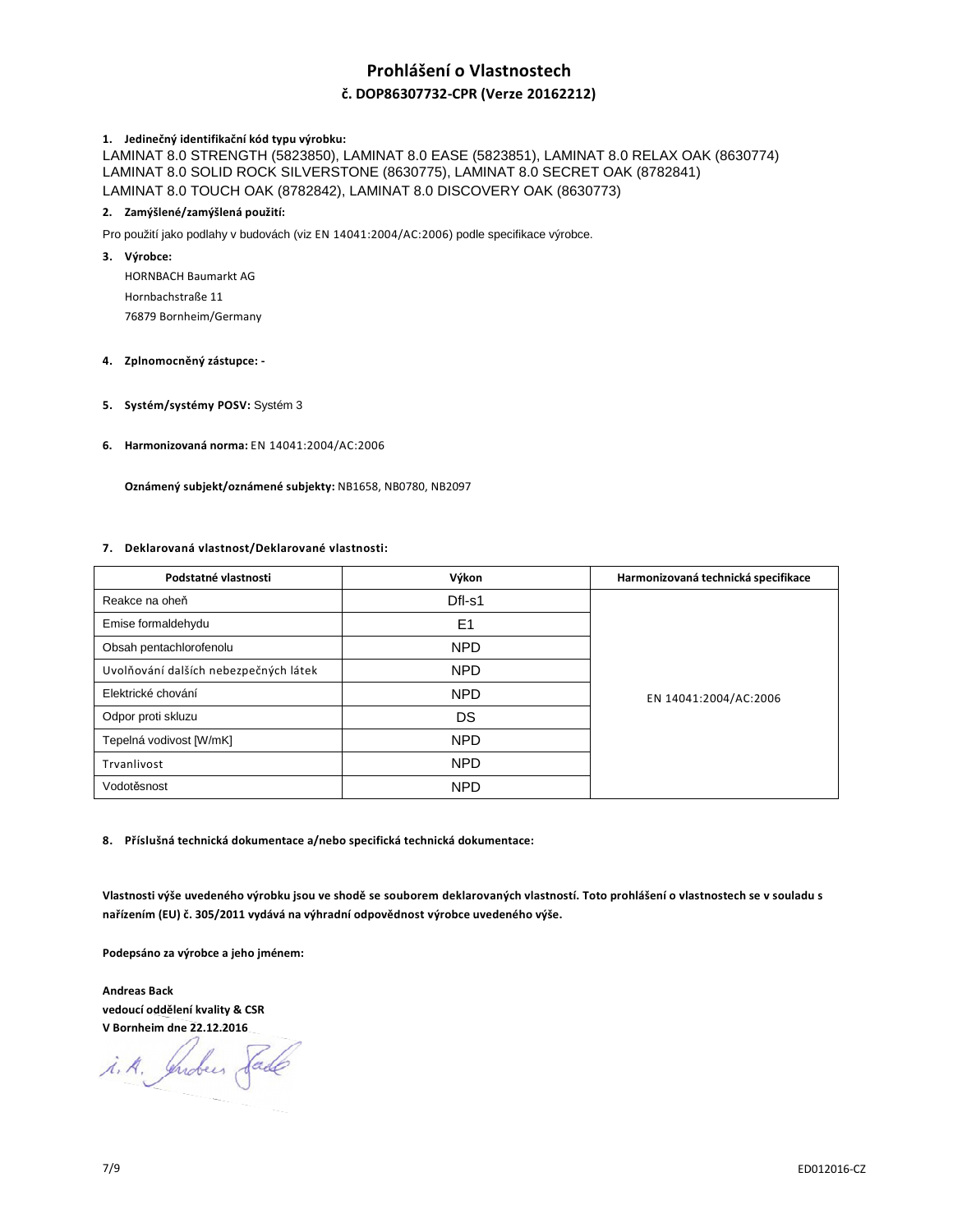# **Prohlášení o Vlastnostech**

### **č. DOP86307732-CPR (Verze 20162212)**

### **1. Jedinečný identifikační kód typu výrobku:**

LAMINAT 8.0 STRENGTH (5823850), LAMINAT 8.0 EASE (5823851), LAMINAT 8.0 RELAX OAK (8630774) LAMINAT 8.0 SOLID ROCK SILVERSTONE (8630775), LAMINAT 8.0 SECRET OAK (8782841) LAMINAT 8.0 TOUCH OAK (8782842), LAMINAT 8.0 DISCOVERY OAK (8630773)

### **2. Zamýšlené/zamýšlená použití:**

Pro použití jako podlahy v budovách (viz EN 14041:2004/AC:2006) podle specifikace výrobce.

**3. Výrobce:** 

HORNBACH Baumarkt AG Hornbachstraße 11 76879 Bornheim/Germany

### **4. Zplnomocněný zástupce: -**

- **5. Systém/systémy POSV:** Systém 3
- **6. Harmonizovaná norma:** EN 14041:2004/AC:2006

 **Oznámený subjekt/oznámené subjekty:** NB1658, NB0780, NB2097

### **7. Deklarovaná vlastnost/Deklarované vlastnosti:**

| Podstatné vlastnosti                  | Výkon          | Harmonizovaná technická specifikace |
|---------------------------------------|----------------|-------------------------------------|
| Reakce na oheň                        | Dfl-s1         | EN 14041:2004/AC:2006               |
| Emise formaldehydu                    | E <sub>1</sub> |                                     |
| Obsah pentachlorofenolu               | <b>NPD</b>     |                                     |
| Uvolňování dalších nebezpečných látek | NPD.           |                                     |
| Elektrické chování                    | <b>NPD</b>     |                                     |
| Odpor proti skluzu                    | DS             |                                     |
| Tepelná vodivost [W/mK]               | <b>NPD</b>     |                                     |
| Trvanlivost                           | <b>NPD</b>     |                                     |
| Vodotěsnost                           | <b>NPD</b>     |                                     |

**8. Příslušná technická dokumentace a/nebo specifická technická dokumentace:** 

**Vlastnosti výše uvedeného výrobku jsou ve shodě se souborem deklarovaných vlastností. Toto prohlášení o vlastnostech se v souladu s nařízením (EU) č. 305/2011 vydává na výhradní odpovědnost výrobce uvedeného výše.** 

**Podepsáno za výrobce a jeho jménem:** 

**Andreas Back vedoucí oddělení kvality & CSR V Bornheim dne 22.12.2016** 

i.A. Indees Sade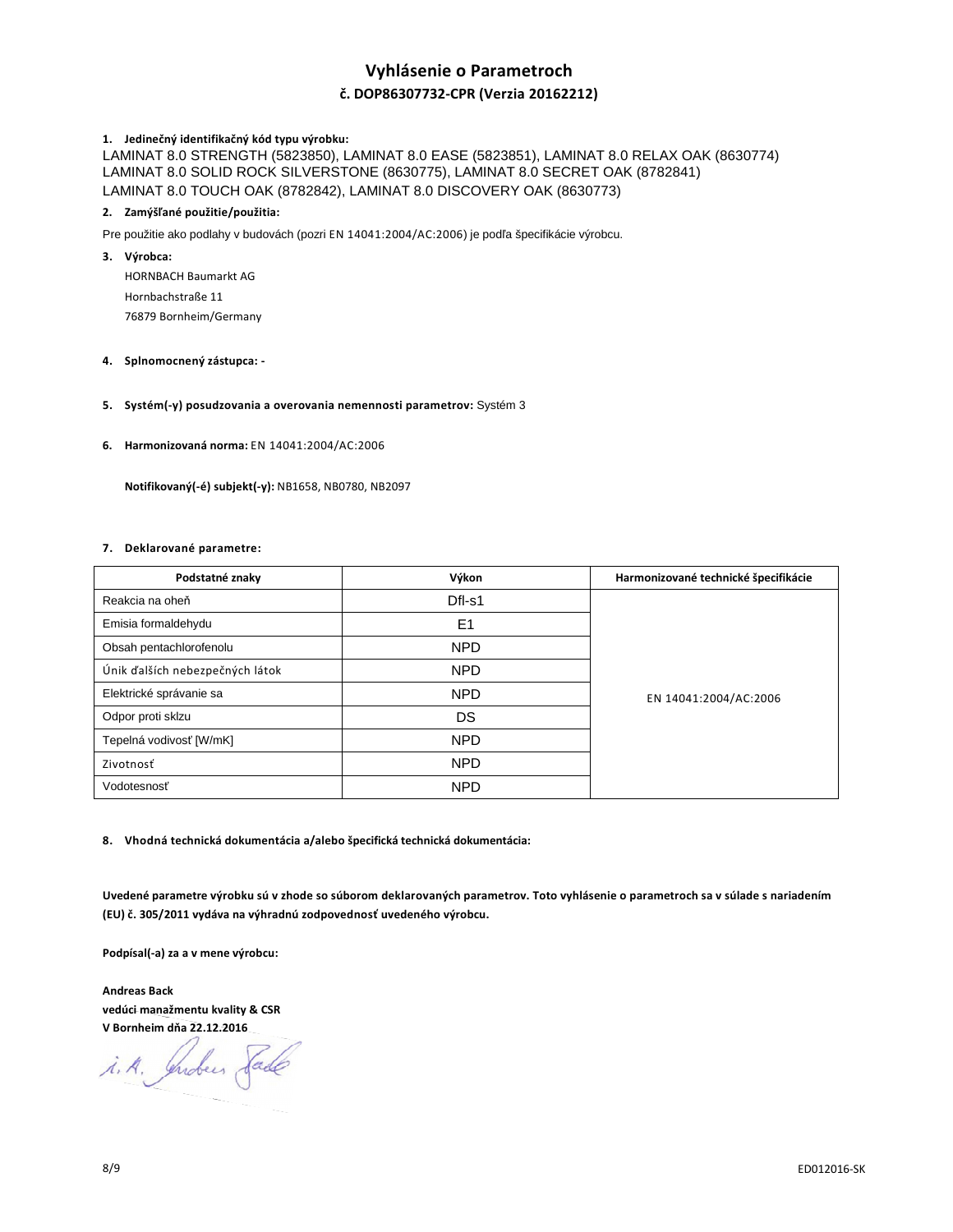# **Vyhlásenie o Parametroch**

### **č. DOP86307732-CPR (Verzia 20162212)**

### **1. Jedinečný identifikačný kód typu výrobku:**

LAMINAT 8.0 STRENGTH (5823850), LAMINAT 8.0 EASE (5823851), LAMINAT 8.0 RELAX OAK (8630774) LAMINAT 8.0 SOLID ROCK SILVERSTONE (8630775), LAMINAT 8.0 SECRET OAK (8782841) LAMINAT 8.0 TOUCH OAK (8782842), LAMINAT 8.0 DISCOVERY OAK (8630773)

### **2. Zamýšľané použitie/použitia:**

Pre použitie ako podlahy v budovách (pozri EN 14041:2004/AC:2006) je podľa špecifikácie výrobcu.

**3. Výrobca:** 

HORNBACH Baumarkt AG Hornbachstraße 11 76879 Bornheim/Germany

### **4. Splnomocnený zástupca: -**

### **5. Systém(-y) posudzovania a overovania nemennosti parametrov:** Systém 3

**6. Harmonizovaná norma:** EN 14041:2004/AC:2006

 **Notifikovaný(-é) subjekt(-y):** NB1658, NB0780, NB2097

### **7. Deklarované parametre:**

| Podstatné znaky                 | Výkon          | Harmonizované technické špecifikácie |
|---------------------------------|----------------|--------------------------------------|
| Reakcia na oheň                 | Dfl-s1         | EN 14041:2004/AC:2006                |
| Emisia formaldehydu             | E <sub>1</sub> |                                      |
| Obsah pentachlorofenolu         | <b>NPD</b>     |                                      |
| Únik ďalších nebezpečných látok | <b>NPD</b>     |                                      |
| Elektrické správanie sa         | <b>NPD</b>     |                                      |
| Odpor proti sklzu               | DS             |                                      |
| Tepelná vodivosť [W/mK]         | <b>NPD</b>     |                                      |
| Zivotnosť                       | NPD            |                                      |
| Vodotesnosť                     | <b>NPD</b>     |                                      |

**8. Vhodná technická dokumentácia a/alebo špecifická technická dokumentácia:** 

**Uvedené parametre výrobku sú v zhode so súborom deklarovaných parametrov. Toto vyhlásenie o parametroch sa v súlade s nariadením (EU) č. 305/2011 vydáva na výhradnú zodpovednosť uvedeného výrobcu.** 

**Podpísal(-a) za a v mene výrobcu:** 

**Andreas Back vedúci manažmentu kvality & CSR V Bornheim dňa 22.12.2016** 

i.A. Indees Sade